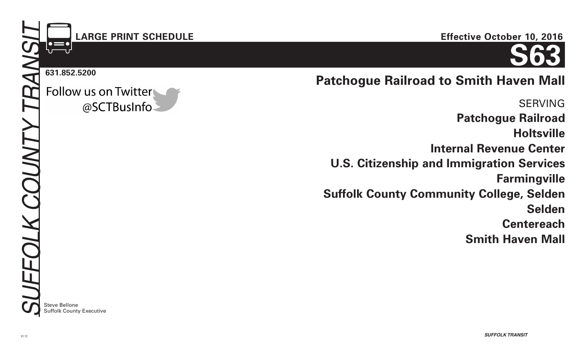# **LARGE PRINT SCHEDULE**

#### **631.852.5200**

Follow us on Twitter @SCTBusInfo

#### **Effective October 10, 2016**



# **Patchogue Railroad to Smith Haven Mall**

SERVING **Patchogue Railroad Holtsville Internal Revenue Center U.S. Citizenship and Immigration Services Farmingville Suffolk County Community College, Selden Selden Centereach Smith Haven Mall**

**Steve Bellone** Suffolk County Executive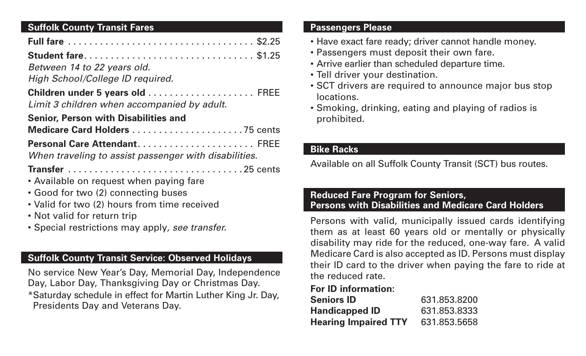# **Suffolk County Transit Fares**

| Student fare \$1.25                                   |  |
|-------------------------------------------------------|--|
| Between 14 to 22 years old.                           |  |
| High School/College ID required.                      |  |
| Children under 5 years old  FREE                      |  |
| Limit 3 children when accompanied by adult.           |  |
| <b>Senior, Person with Disabilities and</b>           |  |
|                                                       |  |
| Personal Care Attendant FREE                          |  |
| When traveling to assist passenger with disabilities. |  |
|                                                       |  |
| • Available on request when paying fare               |  |
| • Good for two (2) connecting buses                   |  |
| • Valid for two (2) hours from time received          |  |
| • Not valid for return trip                           |  |
| • Special restrictions may apply, see transfer.       |  |

## **Suffolk County Transit Service: Observed Holidays**

No service New Year's Day, Memorial Day, Independence Day, Labor Day, Thanksgiving Day or Christmas Day. \*Saturday schedule in effect for Martin Luther King Jr. Day, Presidents Day and Veterans Day.

#### **Passengers Please**

- Have exact fare ready; driver cannot handle money.
- Passengers must deposit their own fare.
- Arrive earlier than scheduled departure time.
- Tell driver your destination.
- SCT drivers are required to announce major bus stop locations.
- Smoking, drinking, eating and playing of radios is prohibited.

## **Bike Racks**

Available on all Suffolk County Transit (SCT) bus routes.

#### **Reduced Fare Program for Seniors, Persons with Disabilities and Medicare Card Holders**

Persons with valid, municipally issued cards identifying them as at least 60 years old or mentally or physically disability may ride for the reduced, one-way fare. A valid Medicare Card is also accepted as ID. Persons must display their ID card to the driver when paying the fare to ride at the reduced rate.

## **For ID information:**

| <b>Seniors ID</b>           | 631.853.8200 |
|-----------------------------|--------------|
| <b>Handicapped ID</b>       | 631.853.8333 |
| <b>Hearing Impaired TTY</b> | 631.853.5658 |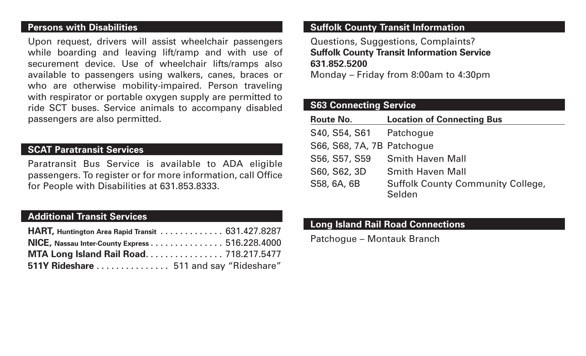#### **Persons with Disabilities**

Upon request, drivers will assist wheelchair passengers while boarding and leaving lift/ramp and with use of securement device. Use of wheelchair lifts/ramps also available to passengers using walkers, canes, braces or who are otherwise mobility-impaired. Person traveling with respirator or portable oxygen supply are permitted to ride SCT buses. Service animals to accompany disabled passengers are also permitted.

#### **SCAT Paratransit Services**

Paratransit Bus Service is available to ADA eligible passengers. To register or for more information, call Office for People with Disabilities at 631.853.8333.

## **Additional Transit Services**

| HART, Huntington Area Rapid Transit 631.427.8287 |  |
|--------------------------------------------------|--|
| NICE, Nassau Inter-County Express 516.228.4000   |  |
| MTA Long Island Rail Road 718.217.5477           |  |
| 511Y Rideshare  511 and say "Rideshare"          |  |

#### **Suffolk County Transit Information**

Questions, Suggestions, Complaints? **Suffolk County Transit Information Service 631.852.5200**

Monday – Friday from 8:00am to 4:30pm

#### **S63 Connecting Service**

| <b>Route No.</b>           | <b>Location of Connecting Bus</b>                  |
|----------------------------|----------------------------------------------------|
| S40, S54, S61 Patchogue    |                                                    |
| S66, S68, 7A, 7B Patchogue |                                                    |
| S56, S57, S59              | <b>Smith Haven Mall</b>                            |
| S60, S62, 3D               | <b>Smith Haven Mall</b>                            |
| S58, 6A, 6B                | <b>Suffolk County Community College,</b><br>Selden |

#### **Long Island Rail Road Connections**

Patchogue – Montauk Branch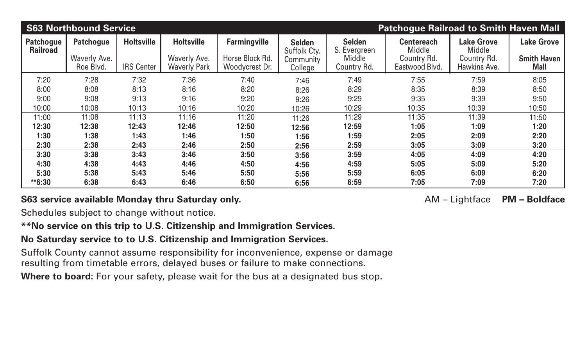|                                     | <b>S63 Northbound Service</b>                 |                                        |                                                          | <b>Patchogue Railroad to Smith Haven Mall</b>            |                                                       |                                                        |                                                              |                                                            |                                                 |
|-------------------------------------|-----------------------------------------------|----------------------------------------|----------------------------------------------------------|----------------------------------------------------------|-------------------------------------------------------|--------------------------------------------------------|--------------------------------------------------------------|------------------------------------------------------------|-------------------------------------------------|
| <b>Patchogue</b><br><b>Railroad</b> | <b>Patchogue</b><br>Waverly Ave.<br>Roe Blvd. | <b>Holtsville</b><br><b>IRS Center</b> | <b>Holtsville</b><br>Waverly Ave.<br><b>Waverly Park</b> | <b>Farmingville</b><br>Horse Block Rd.<br>Woodycrest Dr. | <b>Selden</b><br>Suffolk Cty.<br>Community<br>College | <b>Selden</b><br>S. Evergreen<br>Middle<br>Country Rd. | <b>Centereach</b><br>Middle<br>Country Rd.<br>Eastwood Blvd. | <b>Lake Grove</b><br>Middle<br>Country Rd.<br>Hawkins Ave. | <b>Lake Grove</b><br><b>Smith Haven</b><br>Mall |
| 7:20                                | 7:28                                          | 7:32                                   | 7:36                                                     | 7:40                                                     | 7:46                                                  | 7:49                                                   | 7:55                                                         | 7:59                                                       | 8:05                                            |
| 8:00                                | 8:08                                          | 8:13                                   | 8:16                                                     | 8:20                                                     | 8:26                                                  | 8:29                                                   | 8:35                                                         | 8:39                                                       | 8:50                                            |
| 9:00                                | 9:08                                          | 9:13                                   | 9:16                                                     | 9:20                                                     | 9:26                                                  | 9:29                                                   | 9:35                                                         | 9:39                                                       | 9:50                                            |
| 10:00                               | 10:08                                         | 10:13                                  | 10:16                                                    | 10:20                                                    | 10:26                                                 | 10:29                                                  | 10:35                                                        | 10:39                                                      | 10:50                                           |
| 11:00                               | 11:08                                         | 11:13                                  | 11:16                                                    | 11:20                                                    | 11:26                                                 | 11:29                                                  | 11:35                                                        | 11:39                                                      | 11:50                                           |
| 12:30                               | 12:38                                         | 12:43                                  | 12:46                                                    | 12:50                                                    | 12:56                                                 | 12:59                                                  | 1:05                                                         | 1:09                                                       | 1:20                                            |
| 1:30                                | 1:38                                          | 1:43                                   | 1:46                                                     | 1:50                                                     | 1:56                                                  | 1:59                                                   | 2:05                                                         | 2:09                                                       | 2:20                                            |
| 2:30                                | 2:38                                          | 2:43                                   | 2:46                                                     | 2:50                                                     | 2:56                                                  | 2:59                                                   | 3:05                                                         | 3:09                                                       | 3:20                                            |
| 3:30                                | 3:38                                          | 3:43                                   | 3:46                                                     | 3:50                                                     | 3:56                                                  | 3:59                                                   | 4:05                                                         | 4:09                                                       | 4:20                                            |
| 4:30                                | 4:38                                          | 4:43                                   | 4:46                                                     | 4:50                                                     | 4:56                                                  | 4:59                                                   | 5:05                                                         | 5:09                                                       | 5:20                                            |
| 5:30                                | 5:38                                          | 5:43                                   | 5:46                                                     | 5:50                                                     | 5:56                                                  | 5:59                                                   | 6:05                                                         | 6:09                                                       | 6:20                                            |
| **6:30                              | 6:38                                          | 6:43                                   | 6:46                                                     | 6:50                                                     | 6:56                                                  | 6:59                                                   | 7:05                                                         | 7:09                                                       | 7:20                                            |

## **S63 service available Monday thru Saturday only.** The same of the same of the M – Lightface PM – Boldface PM – Boldface

Schedules subject to change without notice.

#### **\*\*No service on this trip to U.S. Citizenship and Immigration Services.**

## **No Saturday service to to U.S. Citizenship and Immigration Services.**

Suffolk County cannot assume responsibility for inconvenience, expense or damage resulting from timetable errors, delayed buses or failure to make connections.

Where to board: For your safety, please wait for the bus at a designated bus stop.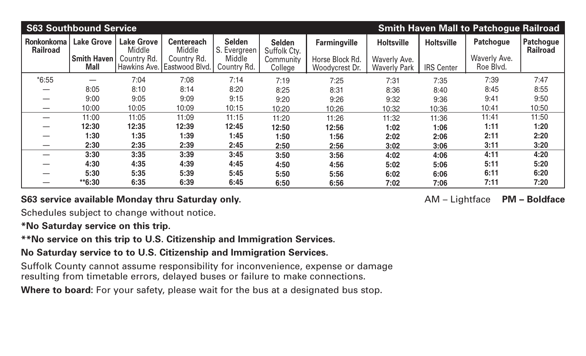| <b>S63 Southbound Service</b><br><b>Smith Haven Mall to Patchogue Railroad</b> |                                         |                                            |                                            |                                         |                                            |                                        |                                   |                   |                           |                                     |
|--------------------------------------------------------------------------------|-----------------------------------------|--------------------------------------------|--------------------------------------------|-----------------------------------------|--------------------------------------------|----------------------------------------|-----------------------------------|-------------------|---------------------------|-------------------------------------|
| <b>Ronkonkoma</b><br><b>Railroad</b>                                           | <b>Lake Grove</b><br><b>Smith Haven</b> | <b>Lake Grove</b><br>Middle<br>Country Rd. | <b>Centereach</b><br>Middle<br>Country Rd. | <b>Selden</b><br>S. Evergreen<br>Middle | <b>Selden</b><br>Suffolk Cty.<br>Community | <b>Farmingville</b><br>Horse Block Rd. | <b>Holtsville</b><br>Waverly Ave. | <b>Holtsville</b> | Patchogue<br>Waverly Ave. | <b>Patchogue</b><br><b>Railroad</b> |
|                                                                                | <b>Mall</b>                             |                                            | Hawkins Ave. Eastwood Blvd.                | Country Rd.                             | College                                    | Woodycrest Dr.                         | <b>Waverly Park</b>               | <b>IRS Center</b> | Roe Blvd.                 |                                     |
| $*6:55$                                                                        |                                         | 7:04                                       | 7:08                                       | 7:14                                    | 7:19                                       | 7:25                                   | 7:31                              | 7:35              | 7:39                      | 7:47                                |
|                                                                                | 8:05                                    | 8:10                                       | 8:14                                       | 8:20                                    | 8:25                                       | 8:31                                   | 8:36                              | 8:40              | 8:45                      | 8:55                                |
|                                                                                | 9:00                                    | 9:05                                       | 9:09                                       | 9:15                                    | 9:20                                       | 9:26                                   | 9:32                              | 9:36              | 9:41                      | 9:50                                |
|                                                                                | 10:00                                   | 10:05                                      | 10:09                                      | 10:15                                   | 10:20                                      | 10:26                                  | 10:32                             | 10:36             | 10:41                     | 10:50                               |
|                                                                                | 11:00                                   | 11:05                                      | 11:09                                      | 11:15                                   | 11:20                                      | 11:26                                  | 11:32                             | 11:36             | 11:41                     | 11:50                               |
|                                                                                | 12:30                                   | 12:35                                      | 12:39                                      | 12:45                                   | 12:50                                      | 12:56                                  | 1:02                              | 1:06              | 1:11                      | 1:20                                |
|                                                                                | 1:30                                    | 1:35                                       | 1:39                                       | 1:45                                    | 1:50                                       | 1:56                                   | 2:02                              | 2:06              | 2:11                      | 2:20                                |
|                                                                                | 2:30                                    | 2:35                                       | 2:39                                       | 2:45                                    | 2:50                                       | 2:56                                   | 3:02                              | 3:06              | 3:11                      | 3:20                                |
|                                                                                | 3:30                                    | 3:35                                       | 3:39                                       | 3:45                                    | 3:50                                       | 3:56                                   | 4:02                              | 4:06              | 4:11                      | 4:20                                |
|                                                                                | 4:30                                    | 4:35                                       | 4:39                                       | 4:45                                    | 4:50                                       | 4:56                                   | 5:02                              | 5:06              | 5:11                      | 5:20                                |
|                                                                                | 5:30                                    | 5:35                                       | 5:39                                       | 5:45                                    | 5:50                                       | 5:56                                   | 6:02                              | 6:06              | 6:11                      | 6:20                                |
|                                                                                | $*6:30$                                 | 6:35                                       | 6:39                                       | 6:45                                    | 6:50                                       | 6:56                                   | 7:02                              | 7:06              | 7:11                      | 7:20                                |

#### **S63 service available Monday thru Saturday only.** The same of the same of the M – Lightface PM – Boldface PM – Boldface

Schedules subject to change without notice.

#### **\*No Saturday service on this trip.**

**\*\*No service on this trip to U.S. Citizenship and Immigration Services.**

# **No Saturday service to to U.S. Citizenship and Immigration Services.**

Suffolk County cannot assume responsibility for inconvenience, expense or damage resulting from timetable errors, delayed buses or failure to make connections.

Where to board: For your safety, please wait for the bus at a designated bus stop.